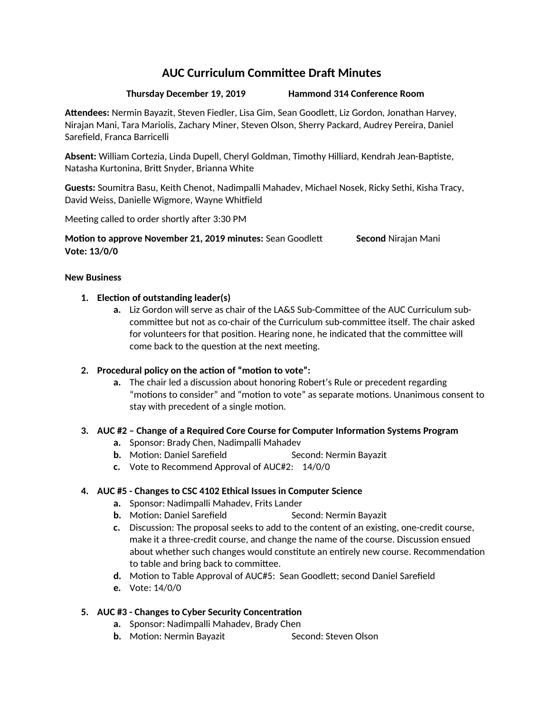# **AUC Curriculum Committee Draft Minutes**

**Thursday December 19, 2019 Hammond 314 Conference Room**

**Attendees:** Nermin Bayazit, Steven Fiedler, Lisa Gim, Sean Goodlett, Liz Gordon, Jonathan Harvey, Nirajan Mani, Tara Mariolis, Zachary Miner, Steven Olson, Sherry Packard, Audrey Pereira, Daniel Sarefield, Franca Barricelli

**Absent:** William Cortezia, Linda Dupell, Cheryl Goldman, Timothy Hilliard, Kendrah Jean-Baptiste, Natasha Kurtonina, Britt Snyder, Brianna White

**Guests:** Soumitra Basu, Keith Chenot, Nadimpalli Mahadev, Michael Nosek, Ricky Sethi, Kisha Tracy, David Weiss, Danielle Wigmore, Wayne Whitfield

Meeting called to order shortly after 3:30 PM

**Motion to approve November 21, 2019 minutes:** Sean Goodlett **Second** Nirajan Mani **Vote: 13/0/0**

#### **New Business**

#### **1. Election of outstanding leader(s)**

**a.** Liz Gordon will serve as chair of the LA&S Sub-Committee of the AUC Curriculum subcommittee but not as co-chair of the Curriculum sub-committee itself. The chair asked for volunteers for that position. Hearing none, he indicated that the committee will come back to the question at the next meeting.

# **2. Procedural policy on the action of "motion to vote":**

**a.** The chair led a discussion about honoring Robert's Rule or precedent regarding "motions to consider" and "motion to vote" as separate motions. Unanimous consent to stay with precedent of a single motion.

# **3. AUC #2 – Change of a Required Core Course for Computer Information Systems Program**

- **a.** Sponsor: Brady Chen, Nadimpalli Mahadev
- **b.** Motion: Daniel Sarefield Second: Nermin Bayazit
- **c.** Vote to Recommend Approval of AUC#2: 14/0/0

# **4. AUC #5 - Changes to CSC 4102 Ethical Issues in Computer Science**

- **a.** Sponsor: Nadimpalli Mahadev, Frits Lander
- **b.** Motion: Daniel Sarefield Second: Nermin Bayazit
- **c.** Discussion: The proposal seeks to add to the content of an existing, one-credit course, make it a three-credit course, and change the name of the course. Discussion ensued about whether such changes would constitute an entirely new course. Recommendation to table and bring back to committee.
- **d.** Motion to Table Approval of AUC#5: Sean Goodlett; second Daniel Sarefield
- **e.** Vote: 14/0/0

# **5. AUC #3 - Changes to Cyber Security Concentration**

- **a.** Sponsor: Nadimpalli Mahadev, Brady Chen
- **b.** Motion: Nermin Bayazit Second: Steven Olson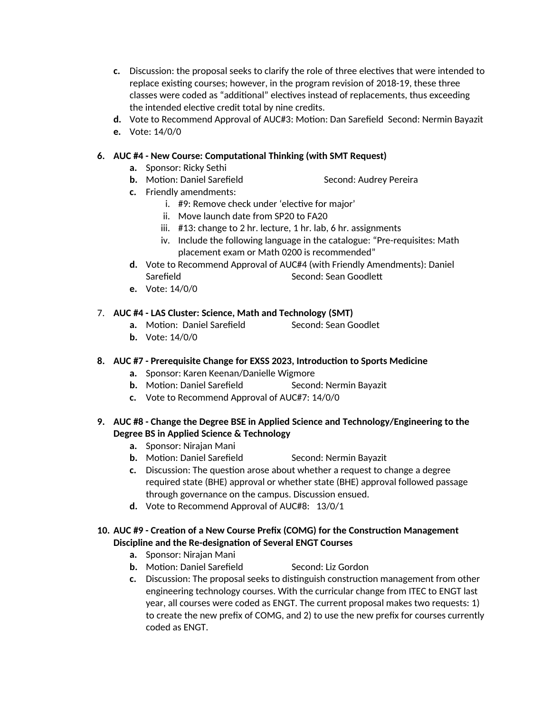- **c.** Discussion: the proposal seeks to clarify the role of three electives that were intended to replace existing courses; however, in the program revision of 2018-19, these three classes were coded as "additional" electives instead of replacements, thus exceeding the intended elective credit total by nine credits.
- **d.** Vote to Recommend Approval of AUC#3: Motion: Dan Sarefield Second: Nermin Bayazit
- **e.** Vote: 14/0/0

#### **6. AUC #4 - New Course: Computational Thinking (with SMT Request)**

- **a.** Sponsor: Ricky Sethi
- **b.** Motion: Daniel Sarefield Second: Audrey Pereira
- **c.** Friendly amendments:
	- i. #9: Remove check under 'elective for major'
	- ii. Move launch date from SP20 to FA20
	- iii. #13: change to 2 hr. lecture, 1 hr. lab, 6 hr. assignments
	- iv. Include the following language in the catalogue: "Pre-requisites: Math placement exam or Math 0200 is recommended"
- **d.** Vote to Recommend Approval of AUC#4 (with Friendly Amendments): Daniel Sarefield Sarefield Second: Sean Goodlett
- **e.** Vote: 14/0/0

#### 7. **AUC #4 - LAS Cluster: Science, Math and Technology (SMT)**

- **a.** Motion: Daniel Sarefield Second: Sean Goodlet
- **b.** Vote: 14/0/0

#### **8. AUC #7 - Prerequisite Change for EXSS 2023, Introduction to Sports Medicine**

- **a.** Sponsor: Karen Keenan/Danielle Wigmore
- **b.** Motion: Daniel Sarefield Second: Nermin Bayazit
- **c.** Vote to Recommend Approval of AUC#7: 14/0/0
- **9. AUC #8 Change the Degree BSE in Applied Science and Technology/Engineering to the Degree BS in Applied Science & Technology**
	- **a.** Sponsor: Nirajan Mani
	- **b.** Motion: Daniel Sarefield Second: Nermin Bayazit
	- **c.** Discussion: The question arose about whether a request to change a degree required state (BHE) approval or whether state (BHE) approval followed passage through governance on the campus. Discussion ensued.
	- **d.** Vote to Recommend Approval of AUC#8: 13/0/1

#### **10. AUC #9 - Creation of a New Course Prefix (COMG) for the Construction Management Discipline and the Re-designation of Several ENGT Courses**

- **a.** Sponsor: Nirajan Mani
- **b.** Motion: Daniel Sarefield Second: Liz Gordon
- **c.** Discussion: The proposal seeks to distinguish construction management from other engineering technology courses. With the curricular change from ITEC to ENGT last year, all courses were coded as ENGT. The current proposal makes two requests: 1) to create the new prefix of COMG, and 2) to use the new prefix for courses currently coded as ENGT.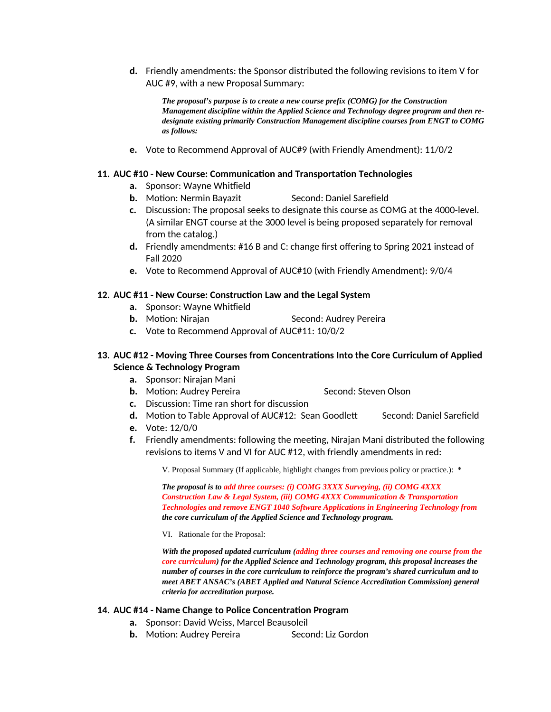**d.** Friendly amendments: the Sponsor distributed the following revisions to item V for AUC #9, with a new Proposal Summary:

*The proposal's purpose is to create a new course prefix (COMG) for the Construction Management discipline within the Applied Science and Technology degree program and then redesignate existing primarily Construction Management discipline courses from ENGT to COMG as follows:* 

**e.** Vote to Recommend Approval of AUC#9 (with Friendly Amendment): 11/0/2

#### **11. AUC #10 - New Course: Communication and Transportation Technologies**

- **a.** Sponsor: Wayne Whitfield
- **b.** Motion: Nermin Bayazit Second: Daniel Sarefield
- **c.** Discussion: The proposal seeks to designate this course as COMG at the 4000-level. (A similar ENGT course at the 3000 level is being proposed separately for removal from the catalog.)
- **d.** Friendly amendments: #16 B and C: change first offering to Spring 2021 instead of Fall 2020
- **e.** Vote to Recommend Approval of AUC#10 (with Friendly Amendment): 9/0/4

#### **12. AUC #11 - New Course: Construction Law and the Legal System**

- **a.** Sponsor: Wayne Whitfield
- **b.** Motion: Nirajan Second: Audrey Pereira
- **c.** Vote to Recommend Approval of AUC#11: 10/0/2

#### **13. AUC #12 - Moving Three Courses from Concentrations Into the Core Curriculum of Applied Science & Technology Program**

- **a.** Sponsor: Nirajan Mani
- **b.** Motion: Audrey Pereira Second: Steven Olson
- **c.** Discussion: Time ran short for discussion
- **d.** Motion to Table Approval of AUC#12: Sean Goodlett Second: Daniel Sarefield
- **e.** Vote: 12/0/0
- **f.** Friendly amendments: following the meeting, Nirajan Mani distributed the following revisions to items V and VI for AUC #12, with friendly amendments in red:

V. Proposal Summary (If applicable, highlight changes from previous policy or practice.): \*

*The proposal is to add three courses: (i) COMG 3XXX Surveying, (ii) COMG 4XXX Construction Law & Legal System, (iii) COMG 4XXX Communication & Transportation Technologies and remove ENGT 1040 Software Applications in Engineering Technology from the core curriculum of the Applied Science and Technology program.* 

VI. Rationale for the Proposal:

*With the proposed updated curriculum (adding three courses and removing one course from the core curriculum) for the Applied Science and Technology program, this proposal increases the number of courses in the core curriculum to reinforce the program's shared curriculum and to meet ABET ANSAC's (ABET Applied and Natural Science Accreditation Commission) general criteria for accreditation purpose.*

#### **14. AUC #14 - Name Change to Police Concentration Program**

- **a.** Sponsor: David Weiss, Marcel Beausoleil
- **b.** Motion: Audrey Pereira Second: Liz Gordon